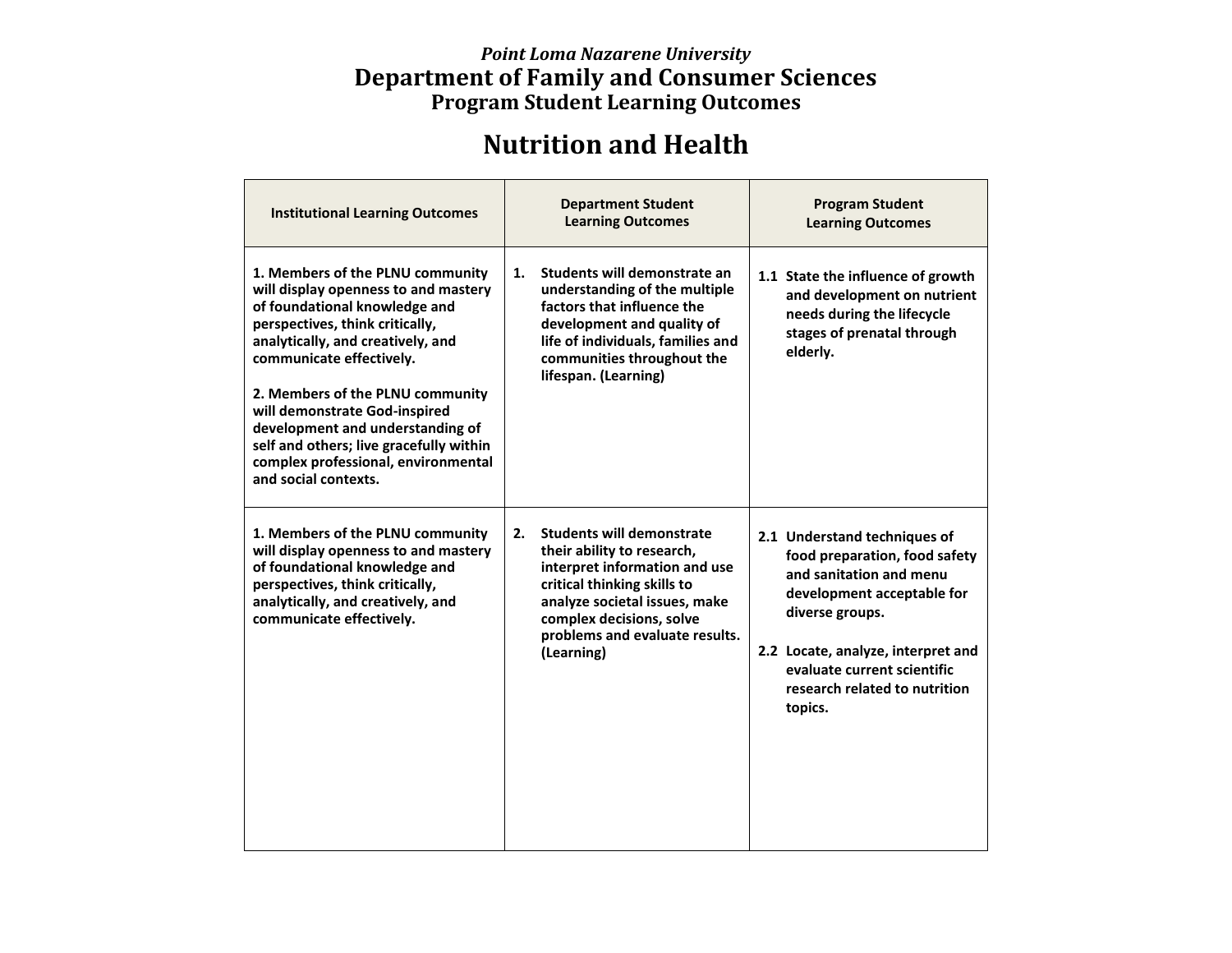## *Point Loma Nazarene University* **Department of Family and Consumer Sciences Program Student Learning Outcomes**

## **Nutrition and Health**

| <b>Institutional Learning Outcomes</b>                                                                                                                                                                                                                                                                                                                                                                                           |    | <b>Department Student</b><br><b>Learning Outcomes</b>                                                                                                                                                                                       | <b>Program Student</b><br><b>Learning Outcomes</b>                                                                                                                                                                                                         |
|----------------------------------------------------------------------------------------------------------------------------------------------------------------------------------------------------------------------------------------------------------------------------------------------------------------------------------------------------------------------------------------------------------------------------------|----|---------------------------------------------------------------------------------------------------------------------------------------------------------------------------------------------------------------------------------------------|------------------------------------------------------------------------------------------------------------------------------------------------------------------------------------------------------------------------------------------------------------|
| 1. Members of the PLNU community<br>will display openness to and mastery<br>of foundational knowledge and<br>perspectives, think critically,<br>analytically, and creatively, and<br>communicate effectively.<br>2. Members of the PLNU community<br>will demonstrate God-inspired<br>development and understanding of<br>self and others; live gracefully within<br>complex professional, environmental<br>and social contexts. | 1. | Students will demonstrate an<br>understanding of the multiple<br>factors that influence the<br>development and quality of<br>life of individuals, families and<br>communities throughout the<br>lifespan. (Learning)                        | 1.1 State the influence of growth<br>and development on nutrient<br>needs during the lifecycle<br>stages of prenatal through<br>elderly.                                                                                                                   |
| 1. Members of the PLNU community<br>will display openness to and mastery<br>of foundational knowledge and<br>perspectives, think critically,<br>analytically, and creatively, and<br>communicate effectively.                                                                                                                                                                                                                    | 2. | <b>Students will demonstrate</b><br>their ability to research,<br>interpret information and use<br>critical thinking skills to<br>analyze societal issues, make<br>complex decisions, solve<br>problems and evaluate results.<br>(Learning) | 2.1 Understand techniques of<br>food preparation, food safety<br>and sanitation and menu<br>development acceptable for<br>diverse groups.<br>2.2 Locate, analyze, interpret and<br>evaluate current scientific<br>research related to nutrition<br>topics. |